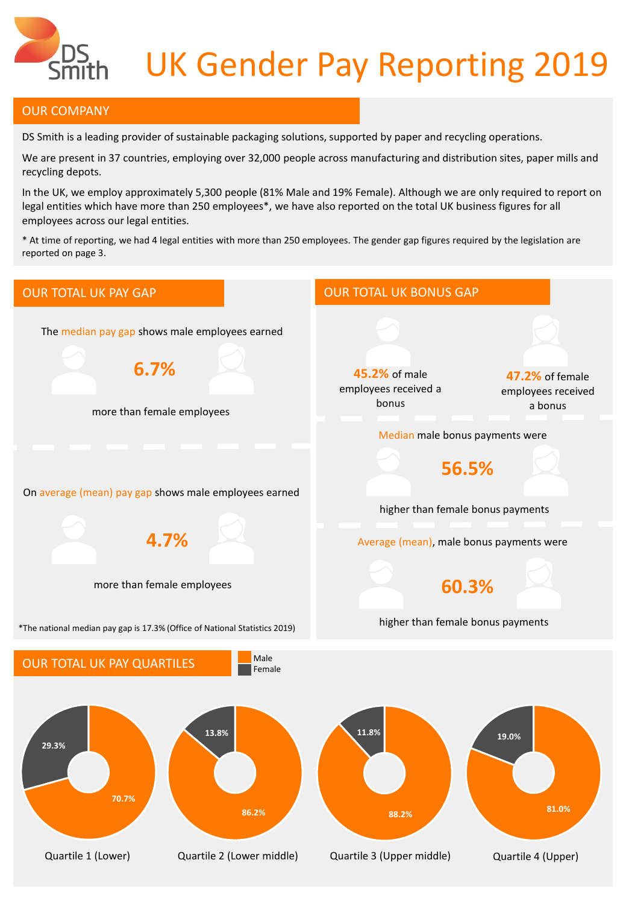

## UK Gender Pay Reporting 2019

## OUR COMPANY

DS Smith is a leading provider of sustainable packaging solutions, supported by paper and recycling operations.

We are present in 37 countries, employing over 32,000 people across manufacturing and distribution sites, paper mills and recycling depots.

In the UK, we employ approximately 5,300 people (81% Male and 19% Female). Although we are only required to report on legal entities which have more than 250 employees\*, we have also reported on the total UK business figures for all employees across our legal entities.

\* At time of reporting, we had 4 legal entities with more than 250 employees. The gender gap figures required by the legislation are reported on page 3.

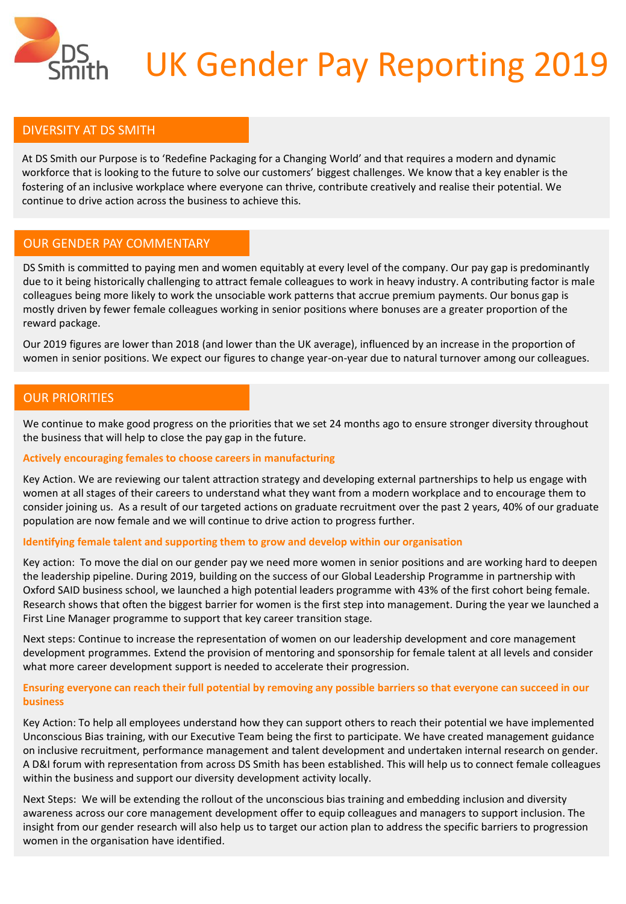

## UK Gender Pay Reporting 2019

### DIVERSITY AT DS SMITH

At DS Smith our Purpose is to 'Redefine Packaging for a Changing World' and that requires a modern and dynamic workforce that is looking to the future to solve our customers' biggest challenges. We know that a key enabler is the fostering of an inclusive workplace where everyone can thrive, contribute creatively and realise their potential. We continue to drive action across the business to achieve this.

#### OUR GENDER PAY COMMENTARY

DS Smith is committed to paying men and women equitably at every level of the company. Our pay gap is predominantly due to it being historically challenging to attract female colleagues to work in heavy industry. A contributing factor is male colleagues being more likely to work the unsociable work patterns that accrue premium payments. Our bonus gap is mostly driven by fewer female colleagues working in senior positions where bonuses are a greater proportion of the reward package.

Our 2019 figures are lower than 2018 (and lower than the UK average), influenced by an increase in the proportion of women in senior positions. We expect our figures to change year-on-year due to natural turnover among our colleagues.

### OUR PRIORITIES

We continue to make good progress on the priorities that we set 24 months ago to ensure stronger diversity throughout the business that will help to close the pay gap in the future.

#### **Actively encouraging females to choose careers in manufacturing**

Key Action. We are reviewing our talent attraction strategy and developing external partnerships to help us engage with women at all stages of their careers to understand what they want from a modern workplace and to encourage them to consider joining us. As a result of our targeted actions on graduate recruitment over the past 2 years, 40% of our graduate population are now female and we will continue to drive action to progress further.

#### **Identifying female talent and supporting them to grow and develop within our organisation**

Key action: To move the dial on our gender pay we need more women in senior positions and are working hard to deepen the leadership pipeline. During 2019, building on the success of our Global Leadership Programme in partnership with Oxford SAID business school, we launched a high potential leaders programme with 43% of the first cohort being female. Research shows that often the biggest barrier for women is the first step into management. During the year we launched a First Line Manager programme to support that key career transition stage.

Next steps: Continue to increase the representation of women on our leadership development and core management development programmes. Extend the provision of mentoring and sponsorship for female talent at all levels and consider what more career development support is needed to accelerate their progression.

#### **Ensuring everyone can reach their full potential by removing any possible barriers so that everyone can succeed in our business**

Key Action: To help all employees understand how they can support others to reach their potential we have implemented Unconscious Bias training, with our Executive Team being the first to participate. We have created management guidance on inclusive recruitment, performance management and talent development and undertaken internal research on gender. A D&I forum with representation from across DS Smith has been established. This will help us to connect female colleagues within the business and support our diversity development activity locally.

Next Steps: We will be extending the rollout of the unconscious bias training and embedding inclusion and diversity awareness across our core management development offer to equip colleagues and managers to support inclusion. The insight from our gender research will also help us to target our action plan to address the specific barriers to progression women in the organisation have identified.